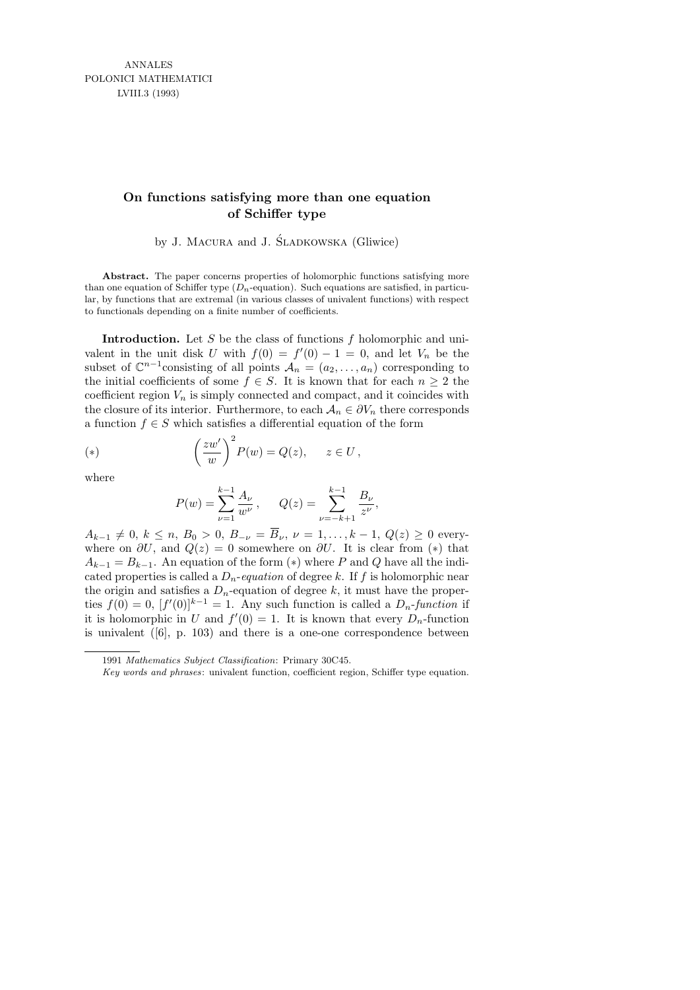## **On functions satisfying more than one equation of Schiffer type**

by J. MACURA and J. SLADKOWSKA (Gliwice)

Abstract. The paper concerns properties of holomorphic functions satisfying more than one equation of Schiffer type  $(D_n$ -equation). Such equations are satisfied, in particular, by functions that are extremal (in various classes of univalent functions) with respect to functionals depending on a finite number of coefficients.

**Introduction.** Let S be the class of functions  $f$  holomorphic and univalent in the unit disk U with  $f(0) = f'(0) - 1 = 0$ , and let  $V_n$  be the subset of  $\mathbb{C}^{n-1}$ consisting of all points  $\mathcal{A}_n = (a_2, \ldots, a_n)$  corresponding to the initial coefficients of some  $f \in S$ . It is known that for each  $n \geq 2$  the coefficient region  $V_n$  is simply connected and compact, and it coincides with the closure of its interior. Furthermore, to each  $A_n \in \partial V_n$  there corresponds a function  $f \in S$  which satisfies a differential equation of the form

(\*) 
$$
\left(\frac{zw'}{w}\right)^2 P(w) = Q(z), \quad z \in U,
$$

where

$$
P(w) = \sum_{\nu=1}^{k-1} \frac{A_{\nu}}{w^{\nu}}, \qquad Q(z) = \sum_{\nu=-k+1}^{k-1} \frac{B_{\nu}}{z^{\nu}}
$$

,

 $A_{k-1} \neq 0, k \leq n, B_0 > 0, B_{-\nu} = \overline{B}_{\nu}, \nu = 1, \ldots, k-1, Q(z) \geq 0$  everywhere on  $\partial U$ , and  $Q(z) = 0$  somewhere on  $\partial U$ . It is clear from (\*) that  $A_{k-1} = B_{k-1}$ . An equation of the form (\*) where P and Q have all the indicated properties is called a  $D_n$ -equation of degree k. If f is holomorphic near the origin and satisfies a  $D_n$ -equation of degree k, it must have the properties  $f(0) = 0$ ,  $[f'(0)]^{k-1} = 1$ . Any such function is called a  $D_n$ -function if it is holomorphic in U and  $f'(0) = 1$ . It is known that every  $D_n$ -function is univalent  $(6)$ , p. 103) and there is a one-one correspondence between

<sup>1991</sup> *Mathematics Subject Classification*: Primary 30C45.

*Key words and phrases*: univalent function, coefficient region, Schiffer type equation.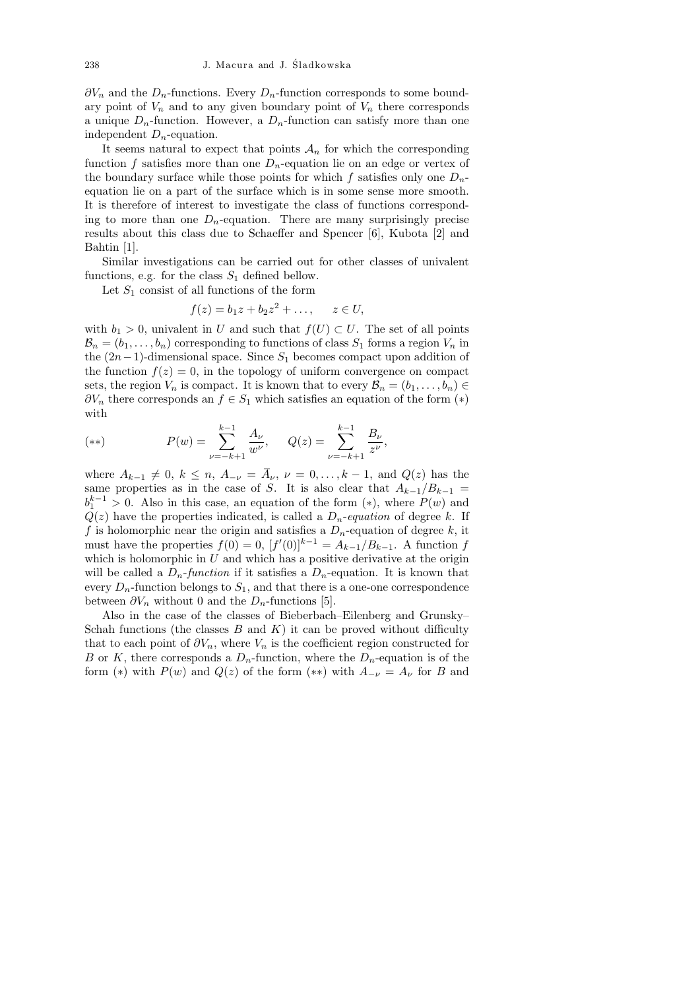$\partial V_n$  and the  $D_n$ -functions. Every  $D_n$ -function corresponds to some boundary point of  $V_n$  and to any given boundary point of  $V_n$  there corresponds a unique  $D_n$ -function. However, a  $D_n$ -function can satisfy more than one independent  $D_n$ -equation.

It seems natural to expect that points  $A_n$  for which the corresponding function f satisfies more than one  $D_n$ -equation lie on an edge or vertex of the boundary surface while those points for which f satisfies only one  $D_n$ equation lie on a part of the surface which is in some sense more smooth. It is therefore of interest to investigate the class of functions corresponding to more than one  $D_n$ -equation. There are many surprisingly precise results about this class due to Schaeffer and Spencer [6], Kubota [2] and Bahtin [1].

Similar investigations can be carried out for other classes of univalent functions, e.g. for the class  $S_1$  defined bellow.

Let  $S_1$  consist of all functions of the form

$$
f(z) = b_1 z + b_2 z^2 + \dots, \quad z \in U,
$$

with  $b_1 > 0$ , univalent in U and such that  $f(U) \subset U$ . The set of all points  $\mathcal{B}_n = (b_1, \ldots, b_n)$  corresponding to functions of class  $S_1$  forms a region  $V_n$  in the  $(2n-1)$ -dimensional space. Since  $S_1$  becomes compact upon addition of the function  $f(z) = 0$ , in the topology of uniform convergence on compact sets, the region  $V_n$  is compact. It is known that to every  $\mathcal{B}_n = (b_1, \ldots, b_n) \in$  $\partial V_n$  there corresponds an  $f \in S_1$  which satisfies an equation of the form  $(*)$ with

(\*\*) 
$$
P(w) = \sum_{\nu=-k+1}^{k-1} \frac{A_{\nu}}{w^{\nu}}, \quad Q(z) = \sum_{\nu=-k+1}^{k-1} \frac{B_{\nu}}{z^{\nu}},
$$

where  $A_{k-1} \neq 0, k \leq n, A_{-\nu} = \bar{A}_{\nu}, \nu = 0, \ldots, k-1$ , and  $Q(z)$  has the same properties as in the case of S. It is also clear that  $A_{k-1}/B_{k-1}$  =  $b_1^{k-1} > 0$ . Also in this case, an equation of the form  $(*)$ , where  $P(w)$  and  $Q(z)$  have the properties indicated, is called a  $D_n$ -equation of degree k. If f is holomorphic near the origin and satisfies a  $D_n$ -equation of degree k, it must have the properties  $f(0) = 0$ ,  $[f'(0)]^{k-1} = A_{k-1}/B_{k-1}$ . A function f which is holomorphic in  $U$  and which has a positive derivative at the origin will be called a  $D_n$ -function if it satisfies a  $D_n$ -equation. It is known that every  $D_n$ -function belongs to  $S_1$ , and that there is a one-one correspondence between  $\partial V_n$  without 0 and the  $D_n$ -functions [5].

Also in the case of the classes of Bieberbach–Eilenberg and Grunsky– Schah functions (the classes  $B$  and  $K$ ) it can be proved without difficulty that to each point of  $\partial V_n$ , where  $V_n$  is the coefficient region constructed for B or K, there corresponds a  $D_n$ -function, where the  $D_n$ -equation is of the form (\*) with  $P(w)$  and  $Q(z)$  of the form (\*\*) with  $A_{-\nu} = A_{\nu}$  for B and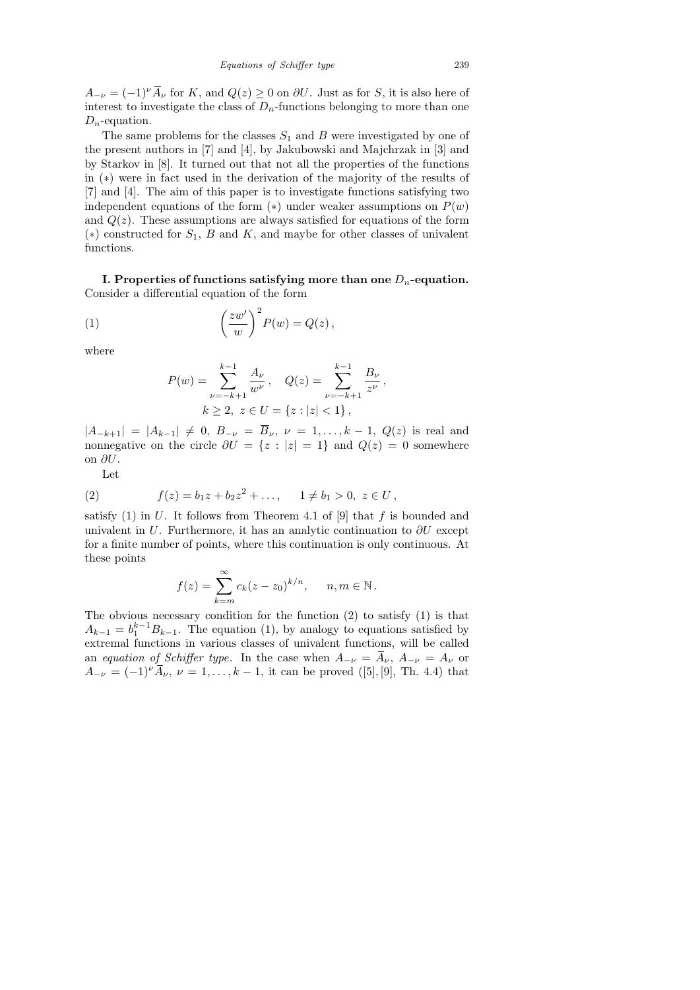$A_{-\nu} = (-1)^{\nu} \overline{A}_{\nu}$  for K, and  $Q(z) \geq 0$  on  $\partial U$ . Just as for S, it is also here of interest to investigate the class of  $D_n$ -functions belonging to more than one  $D_n$ -equation.

The same problems for the classes  $S_1$  and B were investigated by one of the present authors in [7] and [4], by Jakubowski and Majchrzak in [3] and by Starkov in [8]. It turned out that not all the properties of the functions in (∗) were in fact used in the derivation of the majority of the results of [7] and [4]. The aim of this paper is to investigate functions satisfying two independent equations of the form  $(*)$  under weaker assumptions on  $P(w)$ and  $Q(z)$ . These assumptions are always satisfied for equations of the form  $(*)$  constructed for  $S_1$ , B and K, and maybe for other classes of univalent functions.

I. Properties of functions satisfying more than one  $D_n$ -equation. Consider a differential equation of the form

(1) 
$$
\left(\frac{zw'}{w}\right)^2 P(w) = Q(z),
$$

where

$$
P(w) = \sum_{\nu=-k+1}^{k-1} \frac{A_{\nu}}{w^{\nu}}, \quad Q(z) = \sum_{\nu=-k+1}^{k-1} \frac{B_{\nu}}{z^{\nu}},
$$
  

$$
k \ge 2, \ z \in U = \{z : |z| < 1\},
$$

 $|A_{-k+1}| = |A_{k-1}| \neq 0, B_{-\nu} = \overline{B}_{\nu}, \nu = 1, \ldots, k-1, Q(z)$  is real and nonnegative on the circle  $\partial U = \{z : |z| = 1\}$  and  $Q(z) = 0$  somewhere on ∂U.

Let

(2) 
$$
f(z) = b_1 z + b_2 z^2 + \dots, \quad 1 \neq b_1 > 0, \ z \in U,
$$

satisfy  $(1)$  in U. It follows from Theorem 4.1 of  $[9]$  that f is bounded and univalent in U. Furthermore, it has an analytic continuation to  $\partial U$  except for a finite number of points, where this continuation is only continuous. At these points

$$
f(z) = \sum_{k=m}^{\infty} c_k (z - z_0)^{k/n}, \quad n, m \in \mathbb{N}.
$$

The obvious necessary condition for the function (2) to satisfy (1) is that  $A_{k-1} = b_1^{k-1} B_{k-1}$ . The equation (1), by analogy to equations satisfied by extremal functions in various classes of univalent functions, will be called an equation of Schiffer type. In the case when  $A_{-\nu} = \overline{A}_{\nu}$ ,  $A_{-\nu} = A_{\nu}$  or  $A_{-\nu} = (-1)^{\nu} \overline{A}_{\nu}, \nu = 1, \ldots, k-1$ , it can be proved ([5], [9], Th. 4.4) that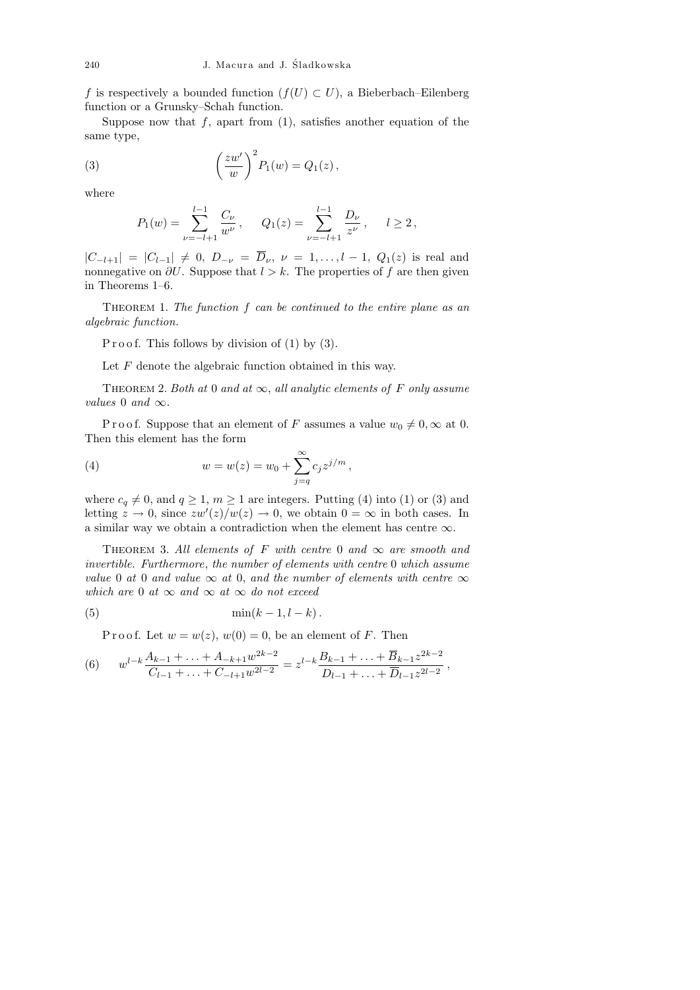f is respectively a bounded function  $(f(U) \subset U)$ , a Bieberbach–Eilenberg function or a Grunsky–Schah function.

Suppose now that  $f$ , apart from  $(1)$ , satisfies another equation of the same type,

(3) 
$$
\left(\frac{zw'}{w}\right)^2 P_1(w) = Q_1(z),
$$

where

$$
P_1(w) = \sum_{\nu=-l+1}^{l-1} \frac{C_{\nu}}{w^{\nu}}, \quad Q_1(z) = \sum_{\nu=-l+1}^{l-1} \frac{D_{\nu}}{z^{\nu}}, \quad l \ge 2,
$$

 $|C_{-l+1}| = |C_{l-1}| \neq 0, D_{-\nu} = \overline{D}_{\nu}, \nu = 1, \ldots, l-1, Q_1(z)$  is real and nonnegative on  $\partial U$ . Suppose that  $l > k$ . The properties of f are then given in Theorems 1–6.

THEOREM 1. The function  $f$  can be continued to the entire plane as an algebraic function.

P r o o f. This follows by division of  $(1)$  by  $(3)$ .

Let  $F$  denote the algebraic function obtained in this way.

THEOREM 2. Both at 0 and at  $\infty$ , all analytic elements of F only assume values 0 and  $\infty$ .

P r o o f. Suppose that an element of F assumes a value  $w_0 \neq 0, \infty$  at 0. Then this element has the form

(4) 
$$
w = w(z) = w_0 + \sum_{j=q}^{\infty} c_j z^{j/m},
$$

where  $c_q \neq 0$ , and  $q \geq 1$ ,  $m \geq 1$  are integers. Putting (4) into (1) or (3) and letting  $z \to 0$ , since  $zw'(z)/w(z) \to 0$ , we obtain  $0 = \infty$  in both cases. In a similar way we obtain a contradiction when the element has centre  $\infty$ .

THEOREM 3. All elements of F with centre 0 and  $\infty$  are smooth and invertible. Furthermore, the number of elements with centre 0 which assume value 0 at 0 and value  $\infty$  at 0, and the number of elements with centre  $\infty$ which are 0 at  $\infty$  and  $\infty$  at  $\infty$  do not exceed

$$
(5) \qquad \qquad \min(k-1,l-k)\,.
$$

P r o o f. Let  $w = w(z)$ ,  $w(0) = 0$ , be an element of F. Then

(6) 
$$
w^{l-k}\frac{A_{k-1}+\ldots+A_{-k+1}w^{2k-2}}{C_{l-1}+\ldots+C_{-l+1}w^{2l-2}}=z^{l-k}\frac{B_{k-1}+\ldots+\overline{B}_{k-1}z^{2k-2}}{D_{l-1}+\ldots+\overline{D}_{l-1}z^{2l-2}},
$$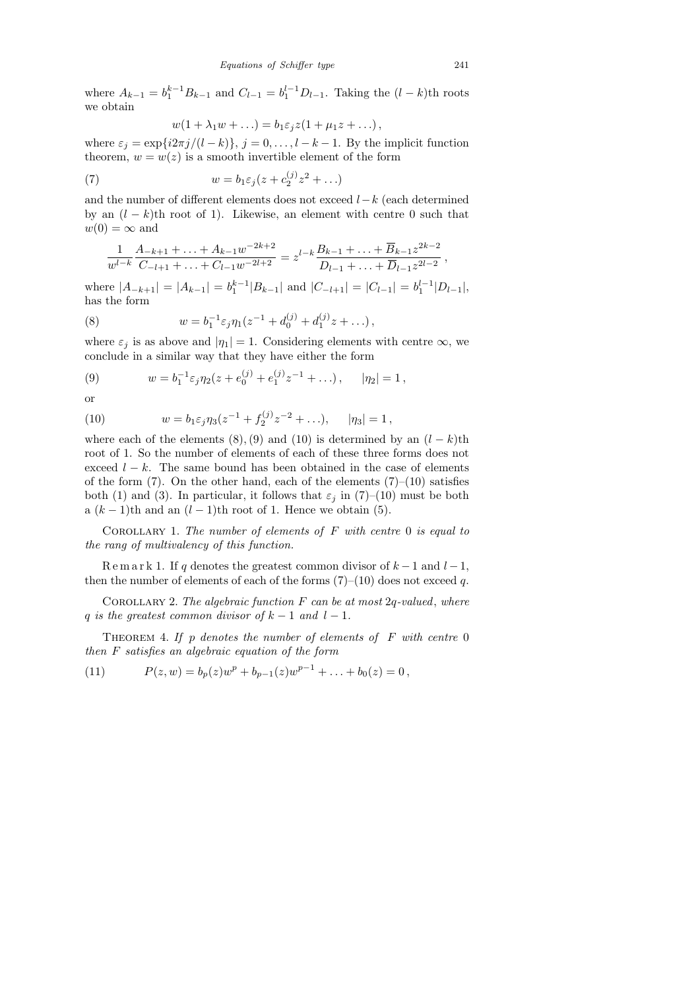where  $A_{k-1} = b_1^{k-1} B_{k-1}$  and  $C_{l-1} = b_1^{l-1} D_{l-1}$ . Taking the  $(l-k)$ th roots we obtain

$$
w(1 + \lambda_1 w + \ldots) = b_1 \varepsilon_j z (1 + \mu_1 z + \ldots),
$$

where  $\varepsilon_j = \exp\{i2\pi j/(l-k)\}, j = 0, \ldots, l-k-1$ . By the implicit function theorem,  $w = w(z)$  is a smooth invertible element of the form

(7) 
$$
w = b_1 \varepsilon_j (z + c_2^{(j)} z^2 + \ldots)
$$

and the number of different elements does not exceed  $l-k$  (each determined by an  $(l - k)$ th root of 1). Likewise, an element with centre 0 such that  $w(0) = \infty$  and

$$
\frac{1}{w^{l-k}} \frac{A_{-k+1} + \ldots + A_{k-1} w^{-2k+2}}{C_{-l+1} + \ldots + C_{l-1} w^{-2l+2}} = z^{l-k} \frac{B_{k-1} + \ldots + \overline{B}_{k-1} z^{2k-2}}{D_{l-1} + \ldots + \overline{D}_{l-1} z^{2l-2}},
$$

where  $|A_{-k+1}| = |A_{k-1}| = b_1^{k-1} |B_{k-1}|$  and  $|C_{-l+1}| = |C_{l-1}| = b_1^{l-1} |D_{l-1}|$ , has the form

(8) 
$$
w = b_1^{-1} \varepsilon_j \eta_1 (z^{-1} + d_0^{(j)} + d_1^{(j)} z + \dots),
$$

where  $\varepsilon_j$  is as above and  $|\eta_1| = 1$ . Considering elements with centre  $\infty$ , we conclude in a similar way that they have either the form

(9) 
$$
w = b_1^{-1} \varepsilon_j \eta_2 (z + e_0^{(j)} + e_1^{(j)} z^{-1} + \ldots), \qquad |\eta_2| = 1,
$$

or

(10) 
$$
w = b_1 \varepsilon_j \eta_3 (z^{-1} + f_2^{(j)} z^{-2} + \ldots), \quad |\eta_3| = 1,
$$

where each of the elements  $(8), (9)$  and  $(10)$  is determined by an  $(l - k)$ th root of 1. So the number of elements of each of these three forms does not exceed  $l - k$ . The same bound has been obtained in the case of elements of the form  $(7)$ . On the other hand, each of the elements  $(7)-(10)$  satisfies both (1) and (3). In particular, it follows that  $\varepsilon_j$  in (7)–(10) must be both a  $(k-1)$ th and an  $(l-1)$ th root of 1. Hence we obtain (5).

COROLLARY 1. The number of elements of  $F$  with centre 0 is equal to the rang of multivalency of this function.

R e m a r k 1. If q denotes the greatest common divisor of  $k-1$  and  $l-1$ , then the number of elements of each of the forms  $(7)-(10)$  does not exceed q.

COROLLARY 2. The algebraic function  $F$  can be at most  $2q$ -valued, where q is the greatest common divisor of  $k-1$  and  $l-1$ .

THEOREM 4. If p denotes the number of elements of  $F$  with centre 0 then F satisfies an algebraic equation of the form

(11) 
$$
P(z, w) = b_p(z)w^p + b_{p-1}(z)w^{p-1} + \ldots + b_0(z) = 0,
$$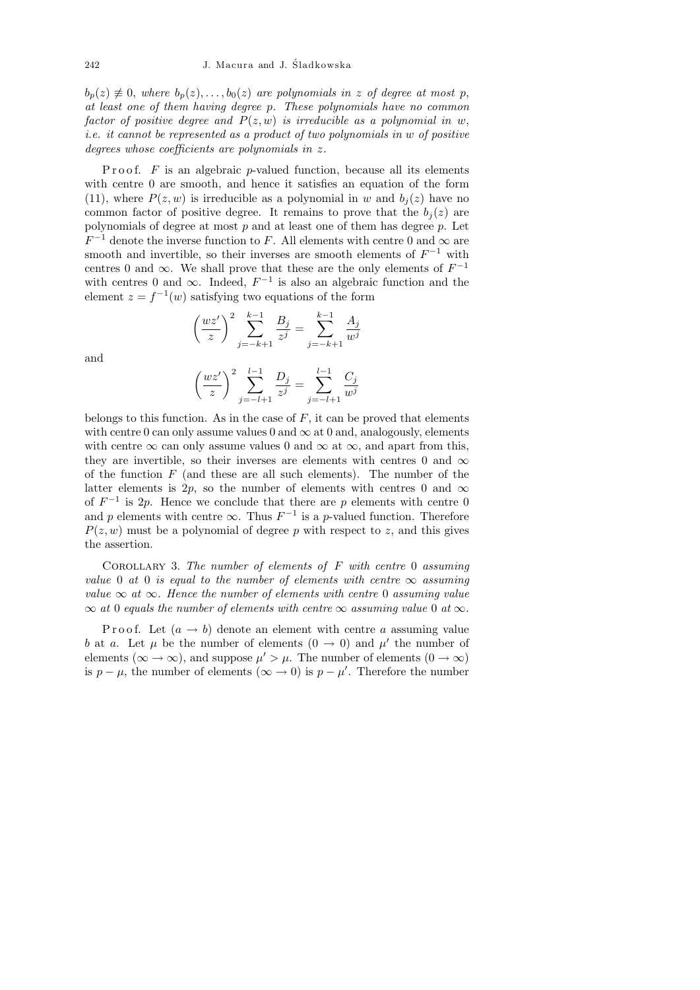$b_p(z) \neq 0$ , where  $b_p(z), \ldots, b_0(z)$  are polynomials in z of degree at most p, at least one of them having degree p. These polynomials have no common factor of positive degree and  $P(z, w)$  is irreducible as a polynomial in w, i.e. it cannot be represented as a product of two polynomials in w of positive degrees whose coefficients are polynomials in z.

P r o o f.  $F$  is an algebraic p-valued function, because all its elements with centre 0 are smooth, and hence it satisfies an equation of the form (11), where  $P(z, w)$  is irreducible as a polynomial in w and  $b_j(z)$  have no common factor of positive degree. It remains to prove that the  $b_j(z)$  are polynomials of degree at most  $p$  and at least one of them has degree  $p$ . Let  $F^{-1}$  denote the inverse function to F. All elements with centre 0 and  $\infty$  are smooth and invertible, so their inverses are smooth elements of  $F^{-1}$  with centres 0 and  $\infty$ . We shall prove that these are the only elements of  $F^{-1}$ with centres 0 and  $\infty$ . Indeed,  $F^{-1}$  is also an algebraic function and the element  $z = f^{-1}(w)$  satisfying two equations of the form

and

$$
\left(\frac{wz'}{z}\right)^2 \sum_{j=-k+1}^{k-1} \frac{B_j}{z^j} = \sum_{j=-k+1}^{k-1} \frac{A_j}{w^j}
$$

$$
\left(\frac{wz'}{z}\right)^2 \sum_{j=-k+1}^{l-1} \frac{D_j}{z^j} = \sum_{j=-k+1}^{l-1} \frac{C_j}{w^j}
$$

 $j=-l+1$ 

 $w^j$ 

 $j=-l+1$ 

z

belongs to this function. As in the case of  $F$ , it can be proved that elements with centre 0 can only assume values 0 and  $\infty$  at 0 and, analogously, elements with centre  $\infty$  can only assume values 0 and  $\infty$  at  $\infty$ , and apart from this, they are invertible, so their inverses are elements with centres 0 and  $\infty$ of the function  $F$  (and these are all such elements). The number of the latter elements is 2p, so the number of elements with centres 0 and  $\infty$ of  $F^{-1}$  is 2p. Hence we conclude that there are p elements with centre 0 and p elements with centre  $\infty$ . Thus  $F^{-1}$  is a p-valued function. Therefore  $P(z, w)$  must be a polynomial of degree p with respect to z, and this gives the assertion.

COROLLARY 3. The number of elements of  $F$  with centre 0 assuming value 0 at 0 is equal to the number of elements with centre  $\infty$  assuming value  $\infty$  at  $\infty$ . Hence the number of elements with centre 0 assuming value  $\infty$  at 0 equals the number of elements with centre  $\infty$  assuming value 0 at  $\infty$ .

P r o o f. Let  $(a \rightarrow b)$  denote an element with centre a assuming value b at a. Let  $\mu$  be the number of elements  $(0 \rightarrow 0)$  and  $\mu'$  the number of elements ( $\infty \to \infty$ ), and suppose  $\mu' > \mu$ . The number of elements ( $0 \to \infty$ ) is  $p - \mu$ , the number of elements ( $\infty \to 0$ ) is  $p - \mu'$ . Therefore the number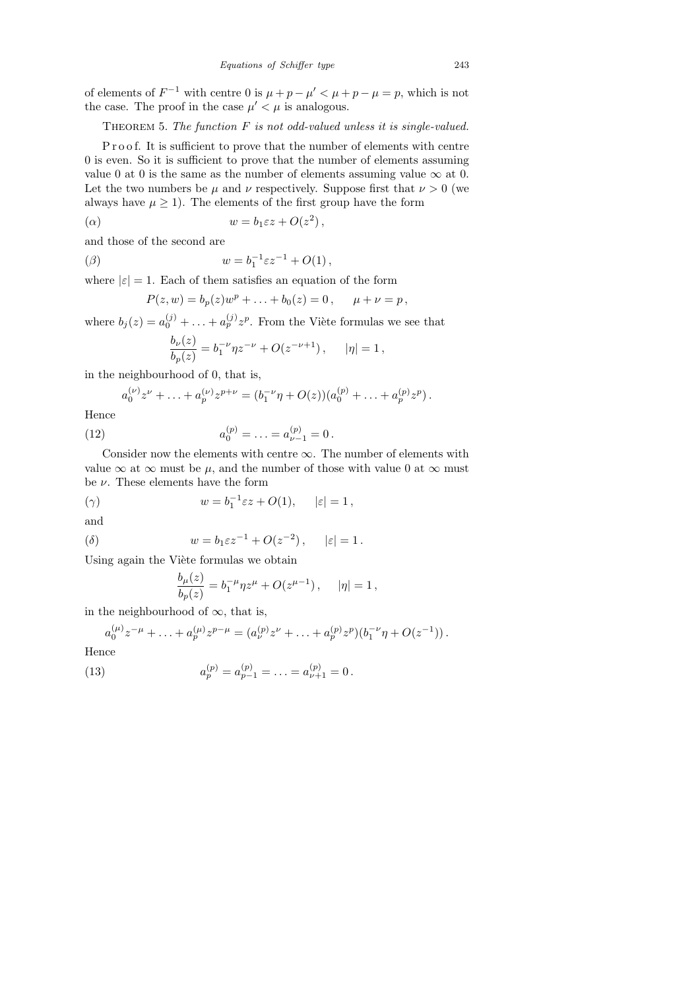of elements of  $F^{-1}$  with centre 0 is  $\mu + p - \mu' < \mu + p - \mu = p$ , which is not the case. The proof in the case  $\mu' < \mu$  is analogous.

THEOREM 5. The function  $F$  is not odd-valued unless it is single-valued.

P r o o f. It is sufficient to prove that the number of elements with centre 0 is even. So it is sufficient to prove that the number of elements assuming value 0 at 0 is the same as the number of elements assuming value  $\infty$  at 0. Let the two numbers be  $\mu$  and  $\nu$  respectively. Suppose first that  $\nu > 0$  (we always have  $\mu \geq 1$ ). The elements of the first group have the form

$$
( \alpha ) \qquad \qquad w = b_1 \varepsilon z + O(z^2) \,,
$$

and those of the second are

$$
( \beta ) \qquad \qquad w = b_1^{-1} \varepsilon z^{-1} + O(1) \,,
$$

where  $|\varepsilon| = 1$ . Each of them satisfies an equation of the form

$$
P(z, w) = b_p(z)w^p + \ldots + b_0(z) = 0, \quad \mu + \nu = p,
$$

where  $b_j(z) = a_0^{(j)} + \ldots + a_p^{(j)} z^p$ . From the Viète formulas we see that

$$
\frac{b_{\nu}(z)}{b_{p}(z)} = b_{1}^{-\nu} \eta z^{-\nu} + O(z^{-\nu+1}), \qquad |\eta| = 1,
$$

in the neighbourhood of 0, that is,

$$
a_0^{(\nu)}z^{\nu} + \ldots + a_p^{(\nu)}z^{p+\nu} = (b_1^{-\nu}\eta + O(z))(a_0^{(p)} + \ldots + a_p^{(p)}z^p).
$$

Hence

(12) 
$$
a_0^{(p)} = \ldots = a_{\nu-1}^{(p)} = 0.
$$

Consider now the elements with centre  $\infty$ . The number of elements with value  $\infty$  at  $\infty$  must be  $\mu$ , and the number of those with value 0 at  $\infty$  must be  $\nu$ . These elements have the form

$$
w = b_1^{-1} \varepsilon z + O(1), \qquad |\varepsilon| = 1,
$$

and

$$
( \delta ) \qquad \qquad w = b_1 \varepsilon z^{-1} + O(z^{-2}) \,, \quad | \varepsilon | = 1 \,.
$$

Using again the Viète formulas we obtain

$$
\frac{b_{\mu}(z)}{b_{p}(z)} = b_{1}^{-\mu} \eta z^{\mu} + O(z^{\mu-1}), \quad |\eta| = 1,
$$

in the neighbourhood of  $\infty$ , that is,

$$
a_0^{(\mu)}z^{-\mu} + \ldots + a_p^{(\mu)}z^{p-\mu} = (a_{\nu}^{(p)}z^{\nu} + \ldots + a_p^{(p)}z^p)(b_1^{-\nu}\eta + O(z^{-1})).
$$

Hence

(13) 
$$
a_p^{(p)} = a_{p-1}^{(p)} = \ldots = a_{\nu+1}^{(p)} = 0.
$$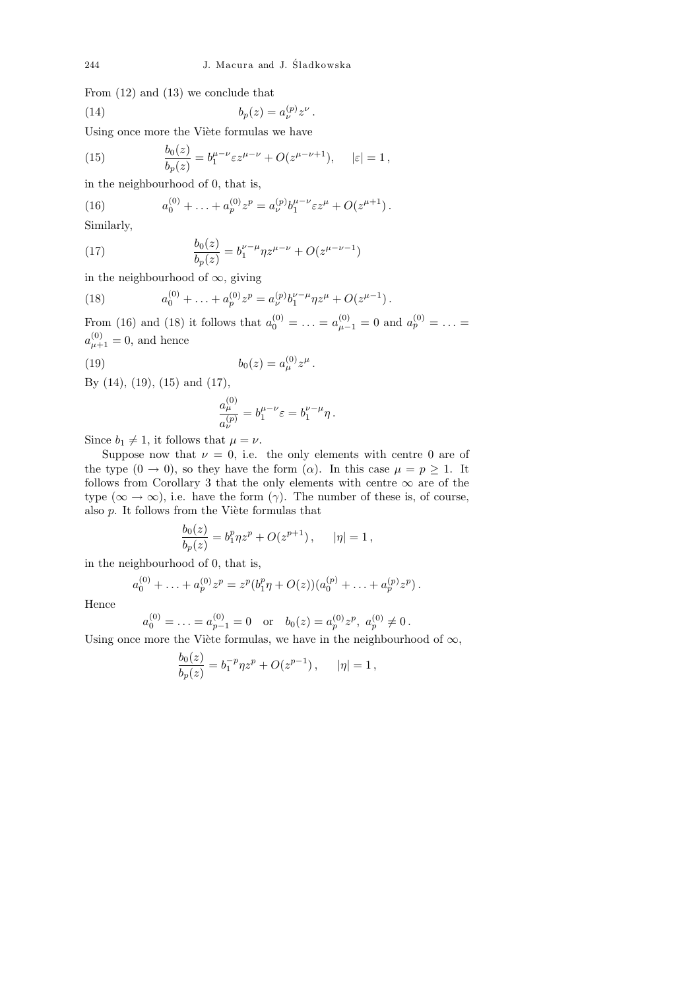.

From (12) and (13) we conclude that

$$
(14) \t\t b_p(z) = a_\nu^{(p)} z^\nu
$$

Using once more the Viète formulas we have

(15) 
$$
\frac{b_0(z)}{b_p(z)} = b_1^{\mu-\nu} \varepsilon z^{\mu-\nu} + O(z^{\mu-\nu+1}), \quad |\varepsilon| = 1,
$$

in the neighbourhood of 0, that is,

(16) 
$$
a_0^{(0)} + \ldots + a_p^{(0)} z^p = a_{\nu}^{(p)} b_1^{\mu - \nu} \varepsilon z^{\mu} + O(z^{\mu + 1}).
$$
Similarly

Similarly,

(17) 
$$
\frac{b_0(z)}{b_p(z)} = b_1^{\nu-\mu} \eta z^{\mu-\nu} + O(z^{\mu-\nu-1})
$$

in the neighbourhood of  $\infty$ , giving

(18) 
$$
a_0^{(0)} + \ldots + a_p^{(0)} z^p = a_{\nu}^{(p)} b_1^{\nu - \mu} \eta z^{\mu} + O(z^{\mu - 1}).
$$

From (16) and (18) it follows that  $a_0^{(0)} = \ldots = a_{\mu-1}^{(0)} = 0$  and  $a_p^{(0)} = \ldots =$  $a_{\mu+1}^{(0)} = 0$ , and hence

(19) 
$$
b_0(z) = a_{\mu}^{(0)} z^{\mu}.
$$

By (14), (19), (15) and (17),

$$
\frac{a_{\mu}^{(0)}}{a_{\nu}^{(p)}} = b_1^{\mu-\nu} \varepsilon = b_1^{\nu-\mu} \eta \, .
$$

Since  $b_1 \neq 1$ , it follows that  $\mu = \nu$ .

Suppose now that  $\nu = 0$ , i.e. the only elements with centre 0 are of the type  $(0 \rightarrow 0)$ , so they have the form  $(\alpha)$ . In this case  $\mu = p \ge 1$ . It follows from Corollary 3 that the only elements with centre  $\infty$  are of the type  $(\infty \to \infty)$ , i.e. have the form  $(\gamma)$ . The number of these is, of course, also  $p$ . It follows from the Viète formulas that

$$
\frac{b_0(z)}{b_p(z)} = b_1^p \eta z^p + O(z^{p+1}), \qquad |\eta| = 1,
$$

in the neighbourhood of 0, that is,

$$
a_0^{(0)} + \ldots + a_p^{(0)} z^p = z^p (b_1^p \eta + O(z)) (a_0^{(p)} + \ldots + a_p^{(p)} z^p).
$$

Hence

$$
a_0^{(0)} = \dots = a_{p-1}^{(0)} = 0
$$
 or  $b_0(z) = a_p^{(0)} z^p$ ,  $a_p^{(0)} \neq 0$ .

Using once more the Viète formulas, we have in the neighbourhood of  $\infty$ ,

$$
\frac{b_0(z)}{b_p(z)} = b_1^{-p} \eta z^p + O(z^{p-1}), \qquad |\eta| = 1,
$$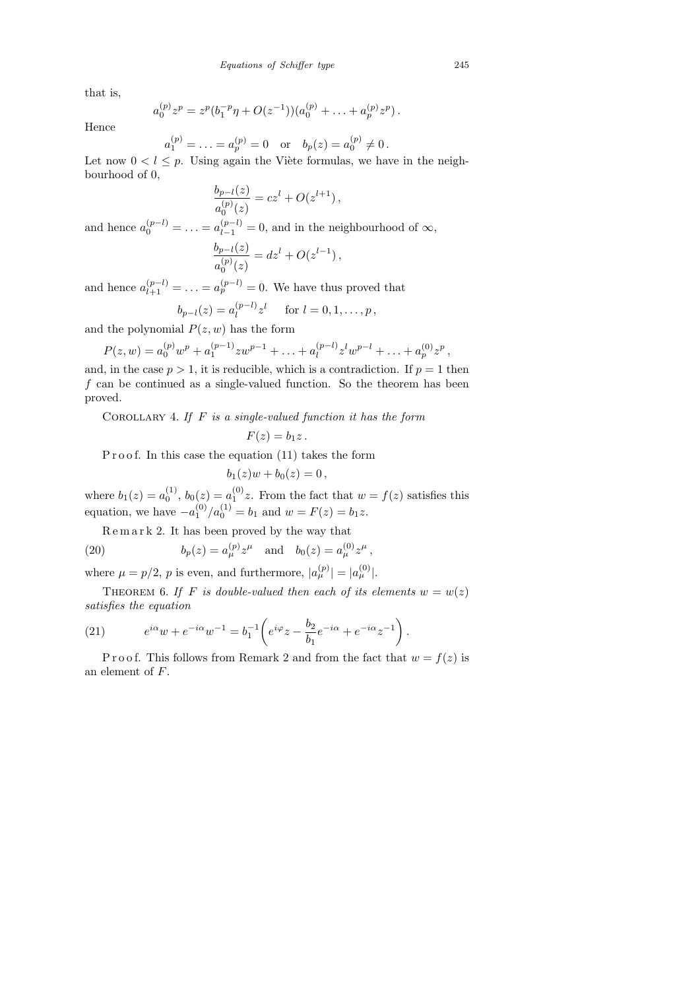that is,

$$
a_0^{(p)} z^p = z^p (b_1^{-p} \eta + O(z^{-1})) (a_0^{(p)} + \ldots + a_p^{(p)} z^p).
$$

Hence

$$
a_1^{(p)} = \ldots = a_p^{(p)} = 0
$$
 or  $b_p(z) = a_0^{(p)} \neq 0$ .

Let now  $0 < l \leq p$ . Using again the Viète formulas, we have in the neighbourhood of 0,

$$
\frac{b_{p-l}(z)}{a_0^{(p)}(z)} = cz^l + O(z^{l+1}),
$$

and hence  $a_0^{(p-l)} = \ldots = a_{l-1}^{(p-l)} = 0$ , and in the neighbourhood of  $\infty$ ,

$$
\frac{b_{p-l}(z)}{a_0^{(p)}(z)} = dz^l + O(z^{l-1}),
$$

and hence  $a_{l+1}^{(p-l)} = \ldots = a_p^{(p-l)} = 0$ . We have thus proved that

$$
b_{p-l}(z) = a_l^{(p-l)} z^l
$$
 for  $l = 0, 1, ..., p$ ,

and the polynomial  $P(z, w)$  has the form

$$
P(z, w) = a_0^{(p)} w^p + a_1^{(p-1)} z w^{p-1} + \ldots + a_l^{(p-l)} z^l w^{p-l} + \ldots + a_p^{(0)} z^p,
$$

and, in the case  $p > 1$ , it is reducible, which is a contradiction. If  $p = 1$  then  $f$  can be continued as a single-valued function. So the theorem has been proved.

COROLLARY 4. If  $F$  is a single-valued function it has the form

$$
F(z)=b_1z.
$$

P r o o f. In this case the equation  $(11)$  takes the form

$$
b_1(z)w + b_0(z) = 0\,,
$$

where  $b_1(z) = a_0^{(1)}$  $b_0^{(1)}$ ,  $b_0(z) = a_1^{(0)}$  $1^{(0)}z$ . From the fact that  $w = f(z)$  satisfies this equation, we have  $-a_1^{(0)}$  $\binom{0}{1}$  / $a_0^{(1)} = b_1$  and  $w = F(z) = b_1 z$ .

,

R e m a r k 2. It has been proved by the way that

(20) 
$$
b_p(z) = a_{\mu}^{(p)} z^{\mu} \text{ and } b_0(z) = a_{\mu}^{(0)} z^{\mu}
$$

where  $\mu = p/2$ , p is even, and furthermore,  $|a_{\mu}^{(p)}| = |a_{\mu}^{(0)}|$ .

THEOREM 6. If F is double-valued then each of its elements  $w = w(z)$ satisfies the equation

(21) 
$$
e^{i\alpha}w + e^{-i\alpha}w^{-1} = b_1^{-1}\left(e^{i\varphi}z - \frac{b_2}{b_1}e^{-i\alpha} + e^{-i\alpha}z^{-1}\right).
$$

P r o o f. This follows from Remark 2 and from the fact that  $w = f(z)$  is an element of F.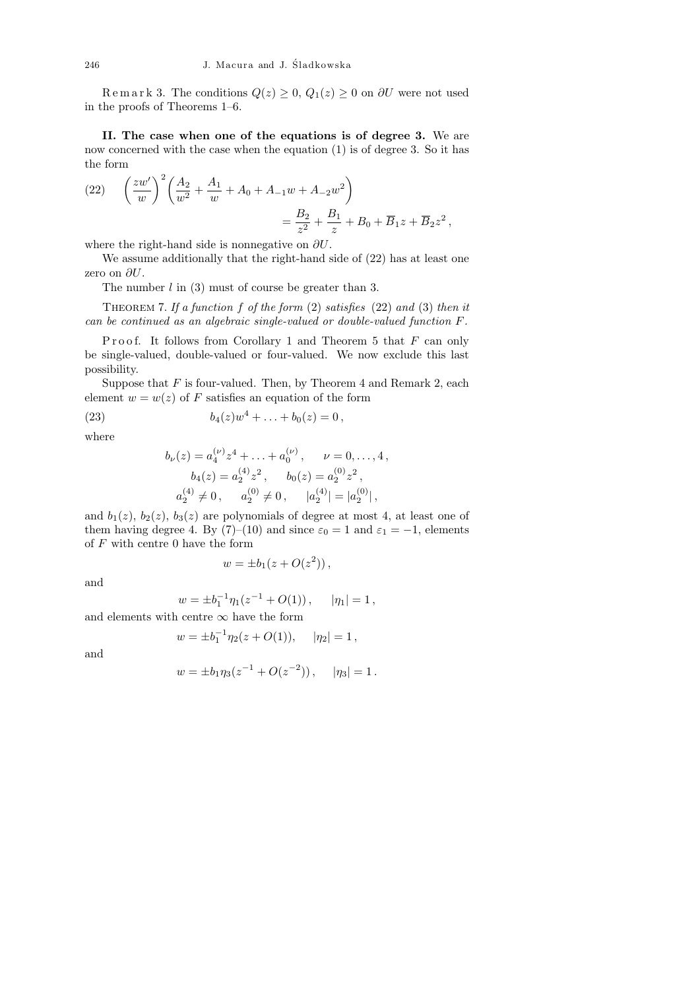Remark 3. The conditions  $Q(z) \geq 0$ ,  $Q_1(z) \geq 0$  on  $\partial U$  were not used in the proofs of Theorems 1–6.

II. The case when one of the equations is of degree 3. We are now concerned with the case when the equation (1) is of degree 3. So it has the form

(22) 
$$
\left(\frac{zw'}{w}\right)^2 \left(\frac{A_2}{w^2} + \frac{A_1}{w} + A_0 + A_{-1}w + A_{-2}w^2\right) = \frac{B_2}{z^2} + \frac{B_1}{z} + B_0 + \overline{B}_1z + \overline{B}_2z^2,
$$

where the right-hand side is nonnegative on  $\partial U$ .

We assume additionally that the right-hand side of (22) has at least one zero on  $\partial U$ .

The number  $l$  in  $(3)$  must of course be greater than 3.

THEOREM 7. If a function f of the form  $(2)$  satisfies  $(22)$  and  $(3)$  then it can be continued as an algebraic single-valued or double-valued function F.

Proof. It follows from Corollary 1 and Theorem 5 that  $F$  can only be single-valued, double-valued or four-valued. We now exclude this last possibility.

Suppose that  $F$  is four-valued. Then, by Theorem 4 and Remark 2, each element  $w = w(z)$  of F satisfies an equation of the form

(23) 
$$
b_4(z)w^4 + \ldots + b_0(z) = 0,
$$

where

$$
b_{\nu}(z) = a_4^{(\nu)} z^4 + \dots + a_0^{(\nu)}, \quad \nu = 0, \dots, 4,
$$
  
\n
$$
b_4(z) = a_2^{(4)} z^2, \quad b_0(z) = a_2^{(0)} z^2,
$$
  
\n
$$
a_2^{(4)} \neq 0, \quad a_2^{(0)} \neq 0, \quad |a_2^{(4)}| = |a_2^{(0)}|,
$$

and  $b_1(z)$ ,  $b_2(z)$ ,  $b_3(z)$  are polynomials of degree at most 4, at least one of them having degree 4. By (7)–(10) and since  $\varepsilon_0 = 1$  and  $\varepsilon_1 = -1$ , elements of  $F$  with centre 0 have the form

$$
w = \pm b_1(z + O(z^2)),
$$

and

$$
w = \pm b_1^{-1} \eta_1 (z^{-1} + O(1)), \quad |\eta_1| = 1,
$$

and elements with centre  $\infty$  have the form

 $\overline{u}$ 

$$
y = \pm b_1^{-1} \eta_2(z + O(1)), \quad |\eta_2| = 1,
$$

and

$$
w = \pm b_1 \eta_3 (z^{-1} + O(z^{-2})), \quad |\eta_3| = 1.
$$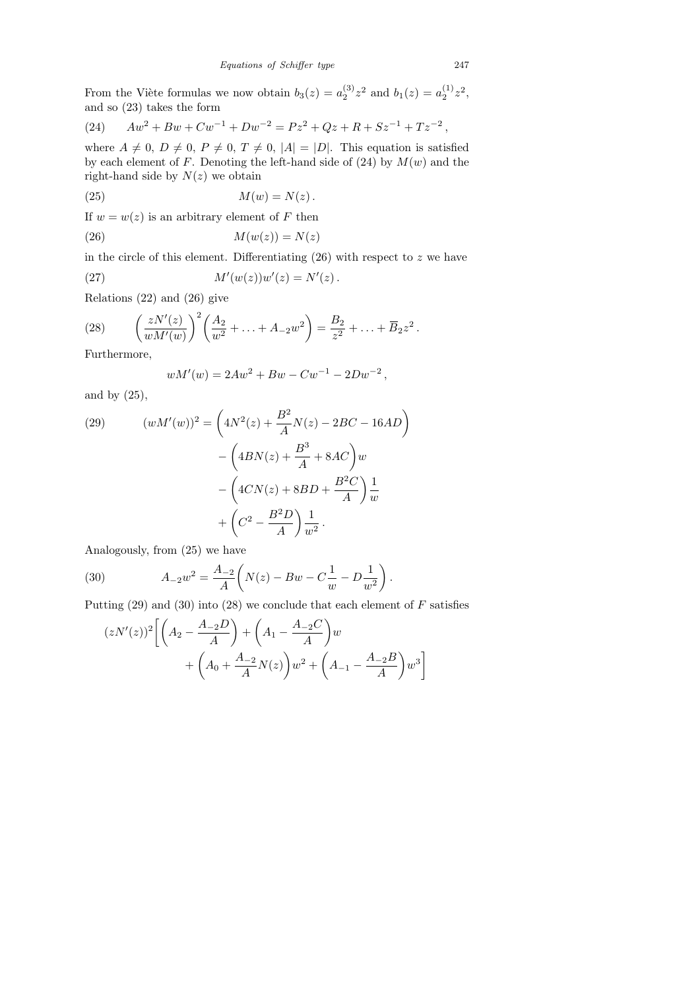From the Viète formulas we now obtain  $b_3(z) = a_2^{(3)}$  $a_2^{(3)}z^2$  and  $b_1(z) = a_2^{(1)}$  $2^{(1)}z^2,$ and so (23) takes the form

(24) 
$$
Aw^{2} + Bw + Cw^{-1} + Dw^{-2} = Pz^{2} + Qz + R + Sz^{-1} + Tz^{-2},
$$

where  $A \neq 0$ ,  $D \neq 0$ ,  $P \neq 0$ ,  $T \neq 0$ ,  $|A| = |D|$ . This equation is satisfied by each element of F. Denoting the left-hand side of  $(24)$  by  $M(w)$  and the right-hand side by  $N(z)$  we obtain

$$
(25) \t\t\t M(w) = N(z).
$$

If  $w = w(z)$  is an arbitrary element of F then

$$
(26) \t\t\t M(w(z)) = N(z)
$$

in the circle of this element. Differentiating  $(26)$  with respect to z we have

(27) 
$$
M'(w(z))w'(z) = N'(z).
$$

Relations (22) and (26) give

(28) 
$$
\left(\frac{zN'(z)}{wM'(w)}\right)^2 \left(\frac{A_2}{w^2} + \ldots + A_{-2}w^2\right) = \frac{B_2}{z^2} + \ldots + \overline{B}_2 z^2.
$$

Furthermore,

$$
wM'(w) = 2Aw^2 + Bw - Cw^{-1} - 2Dw^{-2},
$$

and by  $(25)$ ,

(29) 
$$
(wM'(w))^2 = \left(4N^2(z) + \frac{B^2}{A}N(z) - 2BC - 16AD\right) - \left(4BN(z) + \frac{B^3}{A} + 8AC\right)w - \left(4CN(z) + 8BD + \frac{B^2C}{A}\right)\frac{1}{w} + \left(C^2 - \frac{B^2D}{A}\right)\frac{1}{w^2}.
$$

Analogously, from (25) we have

(30) 
$$
A_{-2}w^2 = \frac{A_{-2}}{A} \left( N(z) - Bw - C\frac{1}{w} - D\frac{1}{w^2} \right).
$$

Putting  $(29)$  and  $(30)$  into  $(28)$  we conclude that each element of F satisfies

$$
(zN'(z))^2 \left[ \left( A_2 - \frac{A_{-2}D}{A} \right) + \left( A_1 - \frac{A_{-2}C}{A} \right) w + \left( A_0 + \frac{A_{-2}D}{A} N(z) \right) w^2 + \left( A_{-1} - \frac{A_{-2}B}{A} \right) w^3 \right]
$$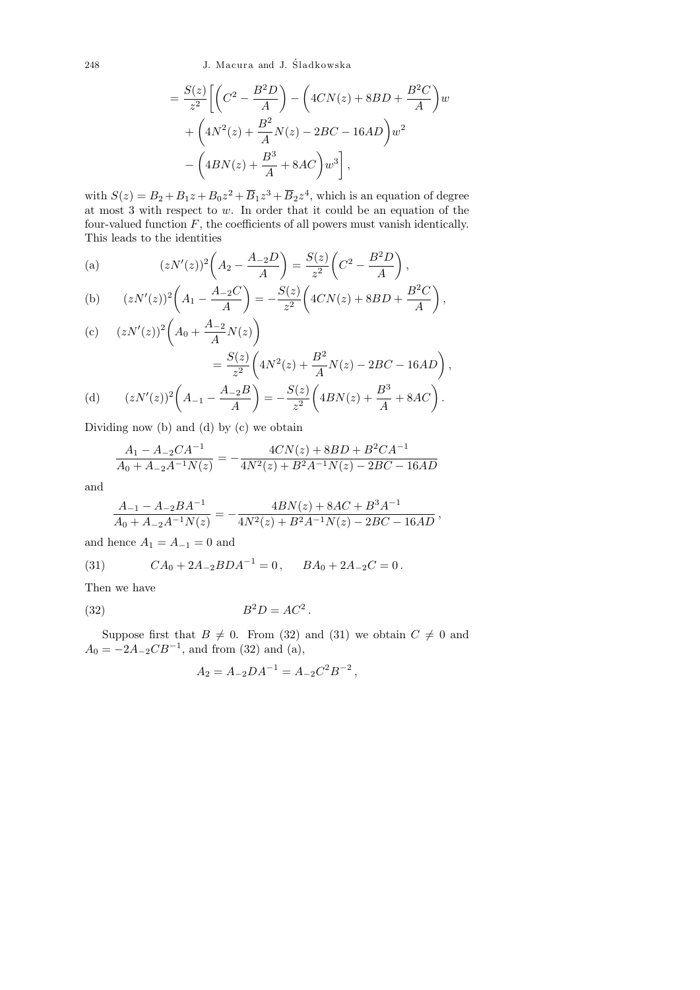248 J. Macura and J. Sladkowska ´

$$
= \frac{S(z)}{z^2} \left[ \left( C^2 - \frac{B^2 D}{A} \right) - \left( 4CN(z) + 8BD + \frac{B^2 C}{A} \right) w + \left( 4N^2(z) + \frac{B^2}{A} N(z) - 2BC - 16AD \right) w^2 - \left( 4BN(z) + \frac{B^3}{A} + 8AC \right) w^3 \right],
$$

with  $S(z) = B_2 + B_1 z + B_0 z^2 + \overline{B}_1 z^3 + \overline{B}_2 z^4$ , which is an equation of degree at most 3 with respect to w. In order that it could be an equation of the four-valued function  $F$ , the coefficients of all powers must vanish identically. This leads to the identities

(a) 
$$
(zN'(z))^2 \left(A_2 - \frac{A_{-2}D}{A}\right) = \frac{S(z)}{z^2} \left(C^2 - \frac{B^2D}{A}\right),
$$

(b) 
$$
(zN'(z))^2 \left(A_1 - \frac{A_{-2}C}{A}\right) = -\frac{S(z)}{z^2} \left(4CN(z) + 8BD + \frac{B^2C}{A}\right),
$$

(c) 
$$
(zN'(z))^2 \left(A_0 + \frac{A_{-2}}{A}N(z)\right)
$$
  
\n
$$
= \frac{S(z)}{z^2} \left(4N^2(z) + \frac{B^2}{A}N(z) - 2BC - 16AD\right),
$$
\n(d)  $(zN'(z))^2 \left(A_{-1} - \frac{A_{-2}B}{A}\right) = -\frac{S(z)}{z^2} \left(4BN(z) + \frac{B^3}{A} + 8AC\right).$ 

Dividing now (b) and (d) by (c) we obtain

$$
\frac{A_1 - A_{-2}CA^{-1}}{A_0 + A_{-2}A^{-1}N(z)} = -\frac{4CN(z) + 8BD + B^2CA^{-1}}{4N^2(z) + B^2A^{-1}N(z) - 2BC - 16AD}
$$

and

$$
\frac{A_{-1}-A_{-2}BA^{-1}}{A_0+A_{-2}A^{-1}N(z)}=-\frac{4BN(z)+8AC+B^3A^{-1}}{4N^2(z)+B^2A^{-1}N(z)-2BC-16AD}\,,
$$

and hence  $A_1 = A_{-1} = 0$  and

(31) 
$$
CA_0 + 2A_{-2}BDA^{-1} = 0, \qquad BA_0 + 2A_{-2}C = 0.
$$

Then we have

$$
(32) \t\t B2D = AC2.
$$

Suppose first that  $B \neq 0$ . From (32) and (31) we obtain  $C \neq 0$  and  $A_0 = -2A_{-2}CB^{-1}$ , and from (32) and (a),

$$
A_2 = A_{-2}DA^{-1} = A_{-2}C^2B^{-2},
$$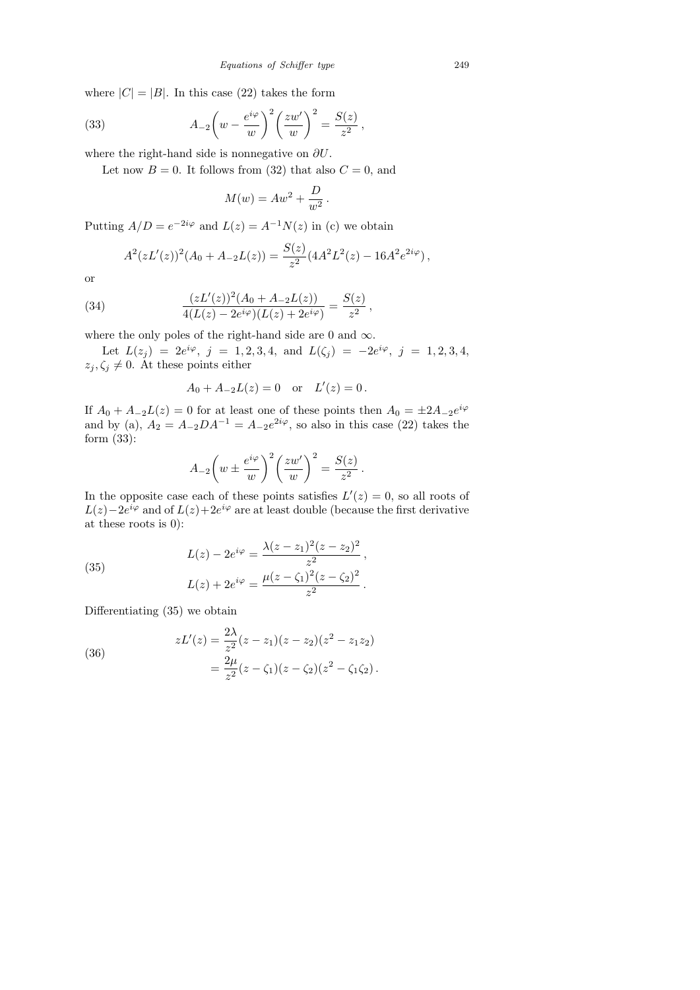where  $|C| = |B|$ . In this case (22) takes the form

(33) 
$$
A_{-2}\left(w-\frac{e^{i\varphi}}{w}\right)^2\left(\frac{zw'}{w}\right)^2=\frac{S(z)}{z^2},
$$

where the right-hand side is nonnegative on  $\partial U$ .

Let now  $B = 0$ . It follows from (32) that also  $C = 0$ , and

$$
M(w) = Aw^2 + \frac{D}{w^2}.
$$

Putting  $A/D = e^{-2i\varphi}$  and  $L(z) = A^{-1}N(z)$  in (c) we obtain

$$
A^{2}(zL'(z))^{2}(A_{0}+A_{-2}L(z))=\frac{S(z)}{z^{2}}(4A^{2}L^{2}(z)-16A^{2}e^{2i\varphi}),
$$

,

or

(34) 
$$
\frac{(zL'(z))^2(A_0+A_{-2}L(z))}{4(L(z)-2e^{i\varphi})(L(z)+2e^{i\varphi})}=\frac{S(z)}{z^2}
$$

where the only poles of the right-hand side are 0 and  $\infty$ .

Let  $L(z_j) = 2e^{i\varphi}, j = 1, 2, 3, 4, \text{ and } L(\zeta_j) = -2e^{i\varphi}, j = 1, 2, 3, 4,$  $z_j, \zeta_j \neq 0$ . At these points either

$$
A_0 + A_{-2}L(z) = 0
$$
 or  $L'(z) = 0$ .

If  $A_0 + A_{-2}L(z) = 0$  for at least one of these points then  $A_0 = \pm 2A_{-2}e^{i\varphi}$ and by (a),  $A_2 = A_{-2}DA^{-1} = A_{-2}e^{2i\varphi}$ , so also in this case (22) takes the form (33):

$$
A_{-2}\left(w \pm \frac{e^{i\varphi}}{w}\right)^2 \left(\frac{zw'}{w}\right)^2 = \frac{S(z)}{z^2}.
$$

In the opposite case each of these points satisfies  $L'(z) = 0$ , so all roots of  $L(z) - 2e^{i\varphi}$  and of  $L(z) + 2e^{i\varphi}$  are at least double (because the first derivative at these roots is 0):

(35) 
$$
L(z) - 2e^{i\varphi} = \frac{\lambda(z - z_1)^2(z - z_2)^2}{z^2},
$$

$$
L(z) + 2e^{i\varphi} = \frac{\mu(z - \zeta_1)^2(z - \zeta_2)^2}{z^2}.
$$

Differentiating (35) we obtain

(36) 
$$
zL'(z) = \frac{2\lambda}{z^2}(z - z_1)(z - z_2)(z^2 - z_1z_2)
$$

$$
= \frac{2\mu}{z^2}(z - \zeta_1)(z - \zeta_2)(z^2 - \zeta_1\zeta_2).
$$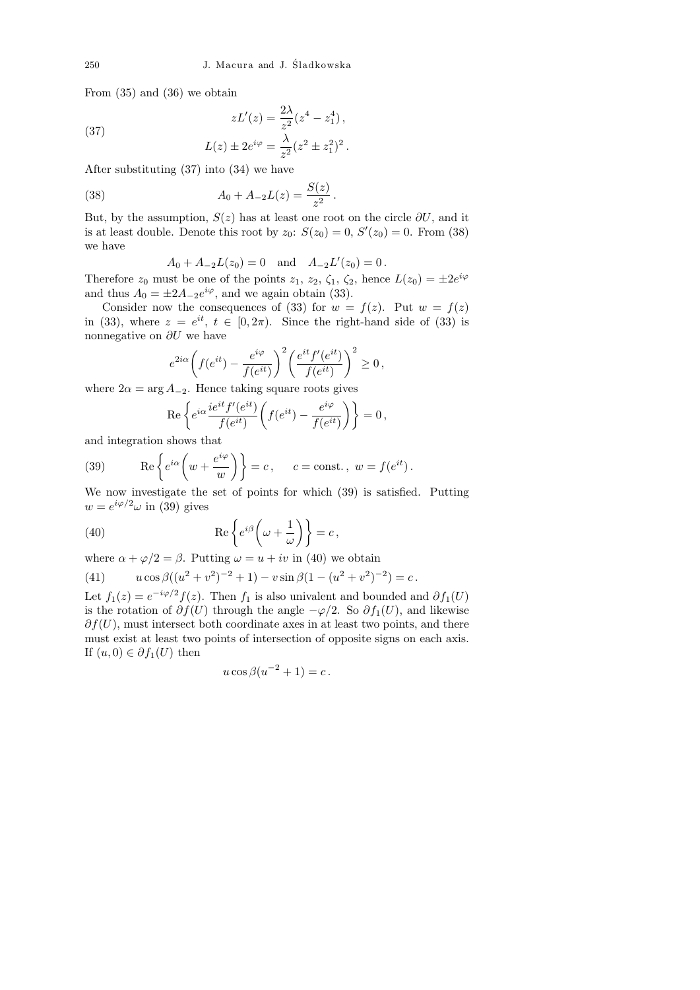.

From (35) and (36) we obtain

$$
zL'(z) = \frac{2\lambda}{z^2}(z^4 - z_1^4),
$$
  

$$
L(z) \pm 2e^{i\varphi} = \frac{\lambda}{z^2}(z^2 \pm z_1^2)^2
$$

After substituting (37) into (34) we have

(38) 
$$
A_0 + A_{-2}L(z) = \frac{S(z)}{z^2}.
$$

But, by the assumption,  $S(z)$  has at least one root on the circle  $\partial U$ , and it is at least double. Denote this root by  $z_0$ :  $S(z_0) = 0$ ,  $S'(z_0) = 0$ . From (38) we have

$$
A_0 + A_{-2}L(z_0) = 0
$$
 and  $A_{-2}L'(z_0) = 0$ .

Therefore  $z_0$  must be one of the points  $z_1$ ,  $z_2$ ,  $\zeta_1$ ,  $\zeta_2$ , hence  $L(z_0) = \pm 2e^{i\varphi}$ and thus  $A_0 = \pm 2A_{-2}e^{i\varphi}$ , and we again obtain (33).

Consider now the consequences of (33) for  $w = f(z)$ . Put  $w = f(z)$ in (33), where  $z = e^{it}$ ,  $t \in [0, 2\pi)$ . Since the right-hand side of (33) is nonnegative on  $\partial U$  we have

$$
e^{2i\alpha}\left(f(e^{it}) - \frac{e^{i\varphi}}{f(e^{it})}\right)^2 \left(\frac{e^{it}f'(e^{it})}{f(e^{it})}\right)^2 \ge 0,
$$

where  $2\alpha = \arg A_{-2}$ . Hence taking square roots gives

$$
\operatorname{Re}\left\{e^{i\alpha}\frac{ie^{it}f'(e^{it})}{f(e^{it})}\left(f(e^{it})-\frac{e^{i\varphi}}{f(e^{it})}\right)\right\}=0\,,
$$

and integration shows that

(39) 
$$
\operatorname{Re}\left\{e^{i\alpha}\left(w+\frac{e^{i\varphi}}{w}\right)\right\}=c, \quad c=\operatorname{const.}, w=f(e^{it}).
$$

We now investigate the set of points for which (39) is satisfied. Putting  $w=e^{i\varphi/2}\omega$  in (39) gives

(40) 
$$
\operatorname{Re}\left\{e^{i\beta}\left(\omega+\frac{1}{\omega}\right)\right\}=c,
$$

where  $\alpha + \varphi/2 = \beta$ . Putting  $\omega = u + iv$  in (40) we obtain

(41) 
$$
u\cos\beta((u^2+v^2)^{-2}+1)-v\sin\beta(1-(u^2+v^2)^{-2})=c.
$$

Let  $f_1(z) = e^{-i\varphi/2} f(z)$ . Then  $f_1$  is also univalent and bounded and  $\partial f_1(U)$ is the rotation of  $\partial f(U)$  through the angle  $-\varphi/2$ . So  $\partial f_1(U)$ , and likewise  $\partial f(U)$ , must intersect both coordinate axes in at least two points, and there must exist at least two points of intersection of opposite signs on each axis. If  $(u, 0) \in \partial f_1(U)$  then

$$
u\cos\beta(u^{-2}+1)=c.
$$

(37)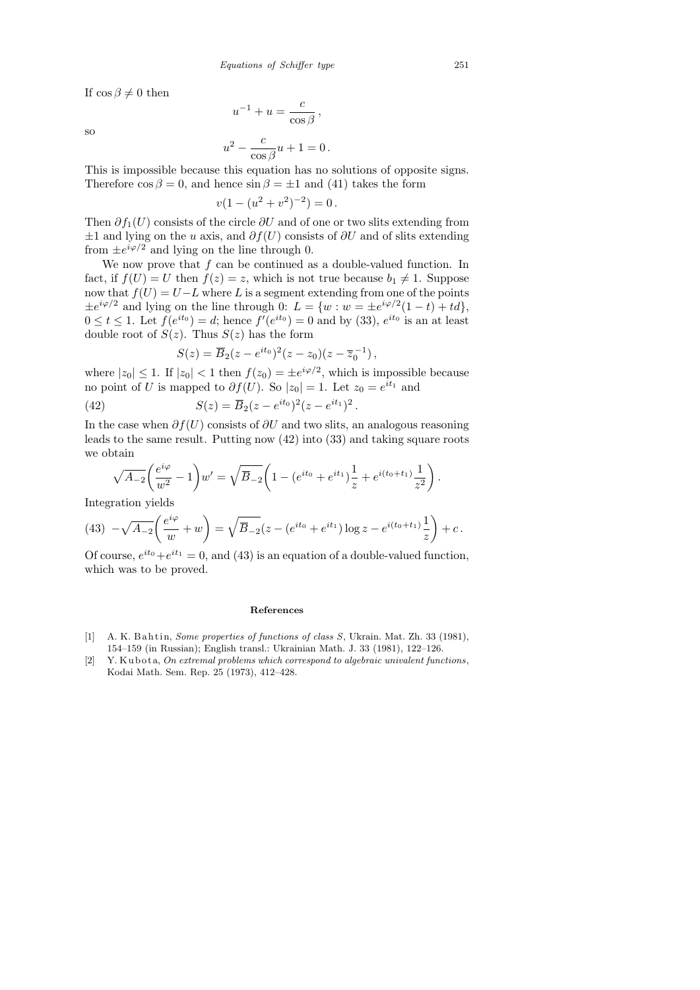If  $\cos \beta \neq 0$  then

so

$$
u^{-1} + u = \frac{c}{\cos \beta},
$$
  

$$
u^2 - \frac{c}{\cos \beta}u + 1 = 0.
$$

This is impossible because this equation has no solutions of opposite signs. Therefore  $\cos \beta = 0$ , and hence  $\sin \beta = \pm 1$  and (41) takes the form

$$
v(1 - (u^2 + v^2)^{-2}) = 0.
$$

Then  $\partial f_1(U)$  consists of the circle  $\partial U$  and of one or two slits extending from  $±1$  and lying on the u axis, and  $\partial f(U)$  consists of  $\partial U$  and of slits extending from  $\pm e^{i\varphi/2}$  and lying on the line through 0.

We now prove that  $f$  can be continued as a double-valued function. In fact, if  $f(U) = U$  then  $f(z) = z$ , which is not true because  $b_1 \neq 1$ . Suppose now that  $f(U) = U - L$  where L is a segment extending from one of the points  $\pm e^{i\varphi/2}$  and lying on the line through 0:  $L = \{w : w = \pm e^{i\varphi/2}(1-t) + td\},\$  $0 \le t \le 1$ . Let  $f(e^{it_0}) = d$ ; hence  $f'(e^{it_0}) = 0$  and by (33),  $e^{it_0}$  is an at least double root of  $S(z)$ . Thus  $S(z)$  has the form

$$
S(z) = \overline{B}_2(z - e^{it_0})^2(z - z_0)(z - \overline{z}_0^{-1}),
$$

where  $|z_0| \leq 1$ . If  $|z_0| < 1$  then  $f(z_0) = \pm e^{i\varphi/2}$ , which is impossible because no point of U is mapped to  $\partial f(U)$ . So  $|z_0|=1$ . Let  $z_0=e^{it_1}$  and

(42) 
$$
S(z) = \overline{B}_2(z - e^{it_0})^2 (z - e^{it_1})^2.
$$

In the case when  $\partial f(U)$  consists of  $\partial U$  and two slits, an analogous reasoning leads to the same result. Putting now (42) into (33) and taking square roots we obtain

$$
\sqrt{A_{-2}}\left(\frac{e^{i\varphi}}{w^2} - 1\right)w' = \sqrt{\overline{B}_{-2}}\left(1 - (e^{it_0} + e^{it_1})\frac{1}{z} + e^{i(t_0 + t_1)}\frac{1}{z^2}\right).
$$

Integration yields

(43) 
$$
-\sqrt{A_{-2}}\left(\frac{e^{i\varphi}}{w}+w\right) = \sqrt{\overline{B}_{-2}}(z - (e^{it_0} + e^{it_1})\log z - e^{i(t_0+t_1)}\frac{1}{z}\right) + c.
$$

Of course,  $e^{it_0} + e^{it_1} = 0$ , and (43) is an equation of a double-valued function, which was to be proved.

## **References**

- [1] A. K. B ahtin, *Some properties of functions of class S*, Ukrain. Mat. Zh. 33 (1981), 154–159 (in Russian); English transl.: Ukrainian Math. J. 33 (1981), 122–126.
- [2] Y. Kubota, *On extremal problems which correspond to algebraic univalent functions*, Kodai Math. Sem. Rep. 25 (1973), 412–428.